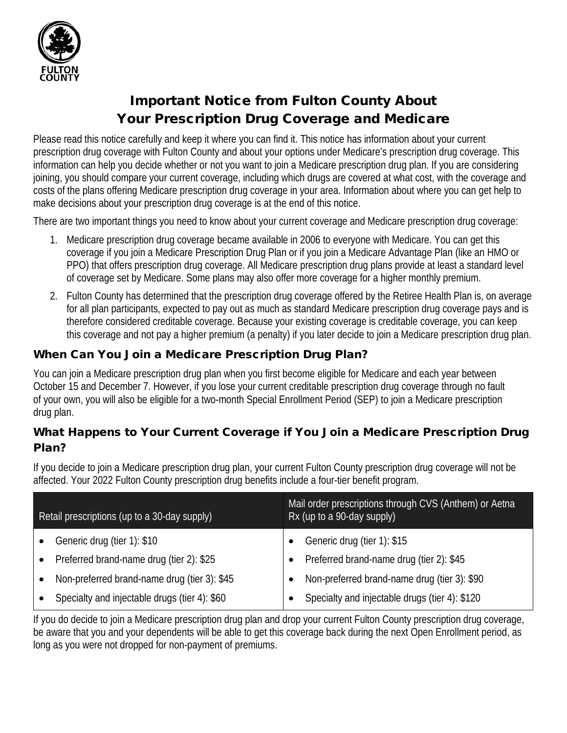

# Important Notice from Fulton County About Your Prescription Drug Coverage and Medicare

Please read this notice carefully and keep it where you can find it. This notice has information about your current prescription drug coverage with Fulton County and about your options under Medicare's prescription drug coverage. This information can help you decide whether or not you want to join a Medicare prescription drug plan. If you are considering joining, you should compare your current coverage, including which drugs are covered at what cost, with the coverage and costs of the plans offering Medicare prescription drug coverage in your area. Information about where you can get help to make decisions about your prescription drug coverage is at the end of this notice.

There are two important things you need to know about your current coverage and Medicare prescription drug coverage:

- 1. Medicare prescription drug coverage became available in 2006 to everyone with Medicare. You can get this coverage if you join a Medicare Prescription Drug Plan or if you join a Medicare Advantage Plan (like an HMO or PPO) that offers prescription drug coverage. All Medicare prescription drug plans provide at least a standard level of coverage set by Medicare. Some plans may also offer more coverage for a higher monthly premium.
- 2. Fulton County has determined that the prescription drug coverage offered by the Retiree Health Plan is, on average for all plan participants, expected to pay out as much as standard Medicare prescription drug coverage pays and is therefore considered creditable coverage. Because your existing coverage is creditable coverage, you can keep this coverage and not pay a higher premium (a penalty) if you later decide to join a Medicare prescription drug plan.

### When Can You Join a Medicare Prescription Drug Plan?

You can join a Medicare prescription drug plan when you first become eligible for Medicare and each year between October 15 and December 7. However, if you lose your current creditable prescription drug coverage through no fault of your own, you will also be eligible for a two-month Special Enrollment Period (SEP) to join a Medicare prescription drug plan.

#### What Happens to Your Current Coverage if You Join a Medicare Prescription Drug Plan?

If you decide to join a Medicare prescription drug plan, your current Fulton County prescription drug coverage will not be affected. Your 2022 Fulton County prescription drug benefits include a four-tier benefit program.

| Retail prescriptions (up to a 30-day supply) |                                               | Mail order prescriptions through CVS (Anthem) or Aetna<br>Rx (up to a 90-day supply) |                                                |
|----------------------------------------------|-----------------------------------------------|--------------------------------------------------------------------------------------|------------------------------------------------|
|                                              | Generic drug (tier 1): \$10                   |                                                                                      | Generic drug (tier 1): \$15                    |
|                                              | Preferred brand-name drug (tier 2): \$25      |                                                                                      | Preferred brand-name drug (tier 2): \$45       |
|                                              | Non-preferred brand-name drug (tier 3): \$45  |                                                                                      | Non-preferred brand-name drug (tier 3): \$90   |
|                                              | Specialty and injectable drugs (tier 4): \$60 |                                                                                      | Specialty and injectable drugs (tier 4): \$120 |

If you do decide to join a Medicare prescription drug plan and drop your current Fulton County prescription drug coverage, be aware that you and your dependents will be able to get this coverage back during the next Open Enrollment period, as long as you were not dropped for non-payment of premiums.